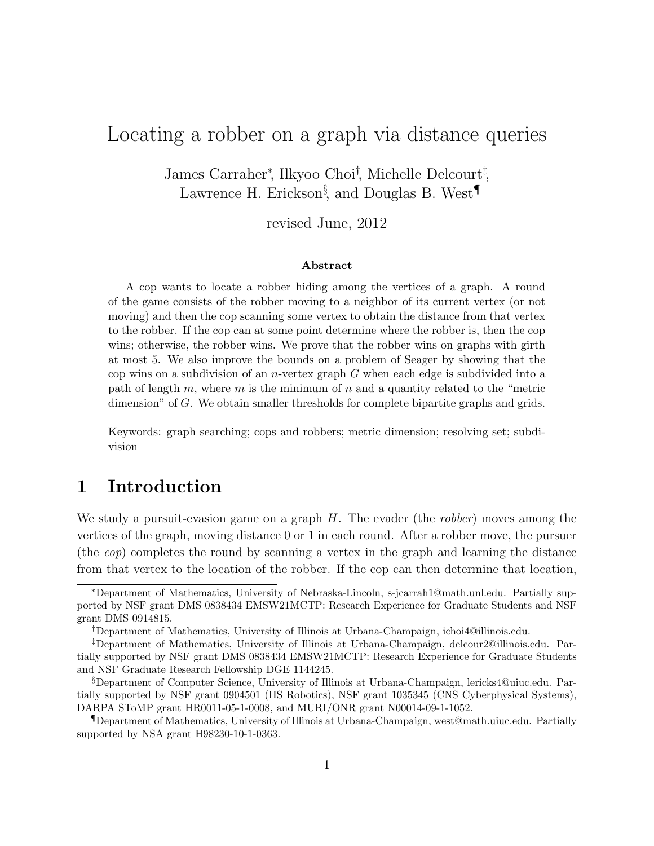# Locating a robber on a graph via distance queries

James Carraher<sup>∗</sup> , Ilkyoo Choi† , Michelle Delcourt‡ , Lawrence H. Erickson<sup>§</sup>, and Douglas B. West<sup>¶</sup>

revised June, 2012

#### Abstract

A cop wants to locate a robber hiding among the vertices of a graph. A round of the game consists of the robber moving to a neighbor of its current vertex (or not moving) and then the cop scanning some vertex to obtain the distance from that vertex to the robber. If the cop can at some point determine where the robber is, then the cop wins; otherwise, the robber wins. We prove that the robber wins on graphs with girth at most 5. We also improve the bounds on a problem of Seager by showing that the cop wins on a subdivision of an *n*-vertex graph  $G$  when each edge is subdivided into a path of length m, where m is the minimum of n and a quantity related to the "metric dimension" of G. We obtain smaller thresholds for complete bipartite graphs and grids.

Keywords: graph searching; cops and robbers; metric dimension; resolving set; subdivision

#### 1 Introduction

We study a pursuit-evasion game on a graph  $H$ . The evader (the *robber*) moves among the vertices of the graph, moving distance 0 or 1 in each round. After a robber move, the pursuer (the cop) completes the round by scanning a vertex in the graph and learning the distance from that vertex to the location of the robber. If the cop can then determine that location,

<sup>∗</sup>Department of Mathematics, University of Nebraska-Lincoln, s-jcarrah1@math.unl.edu. Partially supported by NSF grant DMS 0838434 EMSW21MCTP: Research Experience for Graduate Students and NSF grant DMS 0914815.

<sup>†</sup>Department of Mathematics, University of Illinois at Urbana-Champaign, ichoi4@illinois.edu.

<sup>‡</sup>Department of Mathematics, University of Illinois at Urbana-Champaign, delcour2@illinois.edu. Partially supported by NSF grant DMS 0838434 EMSW21MCTP: Research Experience for Graduate Students and NSF Graduate Research Fellowship DGE 1144245.

<sup>§</sup>Department of Computer Science, University of Illinois at Urbana-Champaign, lericks4@uiuc.edu. Partially supported by NSF grant 0904501 (IIS Robotics), NSF grant 1035345 (CNS Cyberphysical Systems), DARPA SToMP grant HR0011-05-1-0008, and MURI/ONR grant N00014-09-1-1052.

<sup>¶</sup>Department of Mathematics, University of Illinois at Urbana-Champaign, west@math.uiuc.edu. Partially supported by NSA grant H98230-10-1-0363.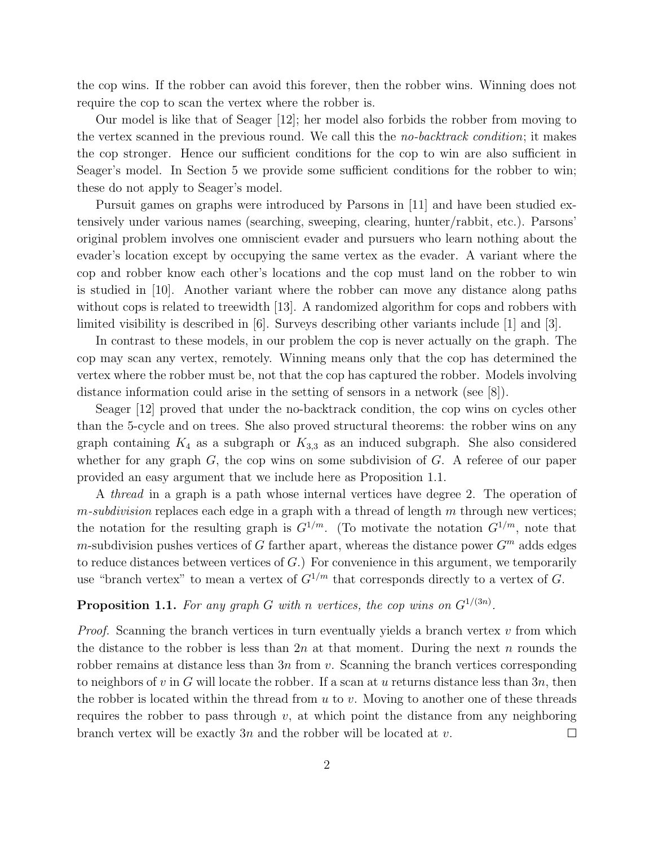the cop wins. If the robber can avoid this forever, then the robber wins. Winning does not require the cop to scan the vertex where the robber is.

Our model is like that of Seager [12]; her model also forbids the robber from moving to the vertex scanned in the previous round. We call this the no-backtrack condition; it makes the cop stronger. Hence our sufficient conditions for the cop to win are also sufficient in Seager's model. In Section 5 we provide some sufficient conditions for the robber to win; these do not apply to Seager's model.

Pursuit games on graphs were introduced by Parsons in [11] and have been studied extensively under various names (searching, sweeping, clearing, hunter/rabbit, etc.). Parsons' original problem involves one omniscient evader and pursuers who learn nothing about the evader's location except by occupying the same vertex as the evader. A variant where the cop and robber know each other's locations and the cop must land on the robber to win is studied in [10]. Another variant where the robber can move any distance along paths without cops is related to treewidth [13]. A randomized algorithm for cops and robbers with limited visibility is described in [6]. Surveys describing other variants include [1] and [3].

In contrast to these models, in our problem the cop is never actually on the graph. The cop may scan any vertex, remotely. Winning means only that the cop has determined the vertex where the robber must be, not that the cop has captured the robber. Models involving distance information could arise in the setting of sensors in a network (see [8]).

Seager [12] proved that under the no-backtrack condition, the cop wins on cycles other than the 5-cycle and on trees. She also proved structural theorems: the robber wins on any graph containing  $K_4$  as a subgraph or  $K_{3,3}$  as an induced subgraph. She also considered whether for any graph  $G$ , the cop wins on some subdivision of  $G$ . A referee of our paper provided an easy argument that we include here as Proposition 1.1.

A *thread* in a graph is a path whose internal vertices have degree 2. The operation of  $m$ -subdivision replaces each edge in a graph with a thread of length  $m$  through new vertices; the notation for the resulting graph is  $G^{1/m}$ . (To motivate the notation  $G^{1/m}$ , note that m-subdivision pushes vertices of G farther apart, whereas the distance power  $G^m$  adds edges to reduce distances between vertices of  $G$ .) For convenience in this argument, we temporarily use "branch vertex" to mean a vertex of  $G^{1/m}$  that corresponds directly to a vertex of G.

#### **Proposition 1.1.** For any graph G with n vertices, the cop wins on  $G^{1/(3n)}$ .

*Proof.* Scanning the branch vertices in turn eventually yields a branch vertex  $v$  from which the distance to the robber is less than  $2n$  at that moment. During the next n rounds the robber remains at distance less than  $3n$  from v. Scanning the branch vertices corresponding to neighbors of v in G will locate the robber. If a scan at u returns distance less than  $3n$ , then the robber is located within the thread from  $u$  to  $v$ . Moving to another one of these threads requires the robber to pass through  $v$ , at which point the distance from any neighboring branch vertex will be exactly 3n and the robber will be located at  $v$ .  $\Box$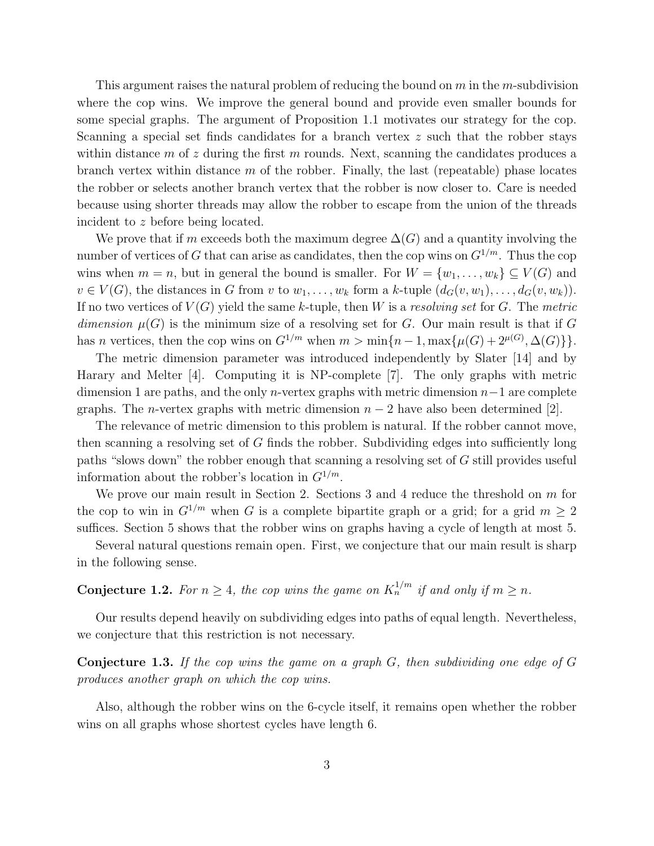This argument raises the natural problem of reducing the bound on  $m$  in the m-subdivision where the cop wins. We improve the general bound and provide even smaller bounds for some special graphs. The argument of Proposition 1.1 motivates our strategy for the cop. Scanning a special set finds candidates for a branch vertex z such that the robber stays within distance m of z during the first m rounds. Next, scanning the candidates produces a branch vertex within distance  $m$  of the robber. Finally, the last (repeatable) phase locates the robber or selects another branch vertex that the robber is now closer to. Care is needed because using shorter threads may allow the robber to escape from the union of the threads incident to z before being located.

We prove that if m exceeds both the maximum degree  $\Delta(G)$  and a quantity involving the number of vertices of G that can arise as candidates, then the cop wins on  $G^{1/m}$ . Thus the cop wins when  $m = n$ , but in general the bound is smaller. For  $W = \{w_1, \ldots, w_k\} \subseteq V(G)$  and  $v \in V(G)$ , the distances in G from v to  $w_1, \ldots, w_k$  form a k-tuple  $(d_G(v, w_1), \ldots, d_G(v, w_k))$ . If no two vertices of  $V(G)$  yield the same k-tuple, then W is a resolving set for G. The metric dimension  $\mu(G)$  is the minimum size of a resolving set for G. Our main result is that if G has *n* vertices, then the cop wins on  $G^{1/m}$  when  $m > \min\{n-1, \max\{\mu(G) + 2^{\mu(G)}, \Delta(G)\}\}.$ 

The metric dimension parameter was introduced independently by Slater [14] and by Harary and Melter [4]. Computing it is NP-complete [7]. The only graphs with metric dimension 1 are paths, and the only *n*-vertex graphs with metric dimension  $n-1$  are complete graphs. The *n*-vertex graphs with metric dimension  $n-2$  have also been determined [2].

The relevance of metric dimension to this problem is natural. If the robber cannot move, then scanning a resolving set of G finds the robber. Subdividing edges into sufficiently long paths "slows down" the robber enough that scanning a resolving set of G still provides useful information about the robber's location in  $G^{1/m}$ .

We prove our main result in Section 2. Sections 3 and 4 reduce the threshold on  $m$  for the cop to win in  $G^{1/m}$  when G is a complete bipartite graph or a grid; for a grid  $m \geq 2$ suffices. Section 5 shows that the robber wins on graphs having a cycle of length at most 5.

Several natural questions remain open. First, we conjecture that our main result is sharp in the following sense.

**Conjecture 1.2.** For  $n \geq 4$ , the cop wins the game on  $K_n^{1/m}$  if and only if  $m \geq n$ .

Our results depend heavily on subdividing edges into paths of equal length. Nevertheless, we conjecture that this restriction is not necessary.

Conjecture 1.3. If the cop wins the game on a graph G, then subdividing one edge of G produces another graph on which the cop wins.

Also, although the robber wins on the 6-cycle itself, it remains open whether the robber wins on all graphs whose shortest cycles have length 6.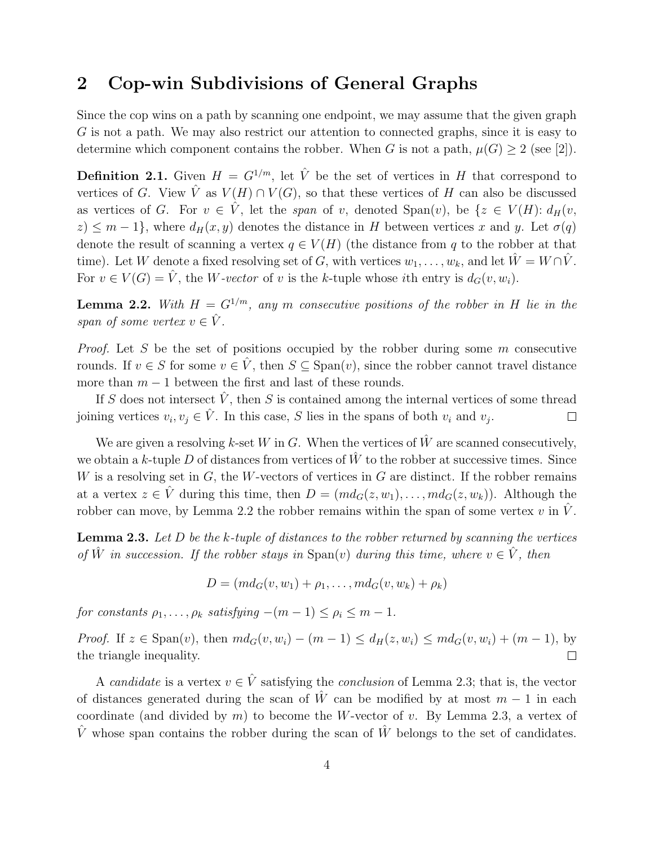## 2 Cop-win Subdivisions of General Graphs

Since the cop wins on a path by scanning one endpoint, we may assume that the given graph G is not a path. We may also restrict our attention to connected graphs, since it is easy to determine which component contains the robber. When G is not a path,  $\mu(G) \geq 2$  (see [2]).

**Definition 2.1.** Given  $H = G^{1/m}$ , let  $\hat{V}$  be the set of vertices in H that correspond to vertices of G. View  $\hat{V}$  as  $V(H) \cap V(G)$ , so that these vertices of H can also be discussed as vertices of G. For  $v \in V$ , let the span of v, denoted  $Span(v)$ , be  $\{z \in V(H): d_H(v, z) \}$  $z) \leq m-1$ , where  $d_H(x,y)$  denotes the distance in H between vertices x and y. Let  $\sigma(q)$ denote the result of scanning a vertex  $q \in V(H)$  (the distance from q to the robber at that time). Let W denote a fixed resolving set of G, with vertices  $w_1, \ldots, w_k$ , and let  $\tilde{W} = W \cap \tilde{V}$ . For  $v \in V(G) = \hat{V}$ , the *W-vector* of v is the k-tuple whose ith entry is  $d_G(v, w_i)$ .

**Lemma 2.2.** With  $H = G^{1/m}$ , any m consecutive positions of the robber in H lie in the span of some vertex  $v \in \hat{V}$ .

*Proof.* Let S be the set of positions occupied by the robber during some  $m$  consecutive rounds. If  $v \in S$  for some  $v \in V$ , then  $S \subseteq \text{Span}(v)$ , since the robber cannot travel distance more than  $m - 1$  between the first and last of these rounds.

If S does not intersect  $\hat{V}$ , then S is contained among the internal vertices of some thread joining vertices  $v_i, v_j \in \hat{V}$ . In this case, S lies in the spans of both  $v_i$  and  $v_j$ .  $\Box$ 

We are given a resolving k-set W in G. When the vertices of  $\hat{W}$  are scanned consecutively, we obtain a k-tuple D of distances from vertices of  $\hat{W}$  to the robber at successive times. Since W is a resolving set in  $G$ , the W-vectors of vertices in  $G$  are distinct. If the robber remains at a vertex  $z \in \hat{V}$  during this time, then  $D = (md_G(z,w_1), \ldots, md_G(z,w_k))$ . Although the robber can move, by Lemma 2.2 the robber remains within the span of some vertex v in  $\hat{V}$ .

**Lemma 2.3.** Let  $D$  be the  $k$ -tuple of distances to the robber returned by scanning the vertices of  $\hat{W}$  in succession. If the robber stays in  $\text{Span}(v)$  during this time, where  $v \in \hat{V}$ , then

$$
D = (md_G(v, w_1) + \rho_1, \dots, md_G(v, w_k) + \rho_k)
$$

for constants  $\rho_1, \ldots, \rho_k$  satisfying  $-(m-1) \leq \rho_i \leq m-1$ .

*Proof.* If  $z \in \text{Span}(v)$ , then  $md_G(v,w_i) - (m-1) \leq d_H(z,w_i) \leq md_G(v,w_i) + (m-1)$ , by the triangle inequality.  $\Box$ 

A candidate is a vertex  $v \in \hat{V}$  satisfying the conclusion of Lemma 2.3; that is, the vector of distances generated during the scan of  $\hat{W}$  can be modified by at most  $m-1$  in each coordinate (and divided by  $m$ ) to become the W-vector of  $v$ . By Lemma 2.3, a vertex of V whose span contains the robber during the scan of W belongs to the set of candidates.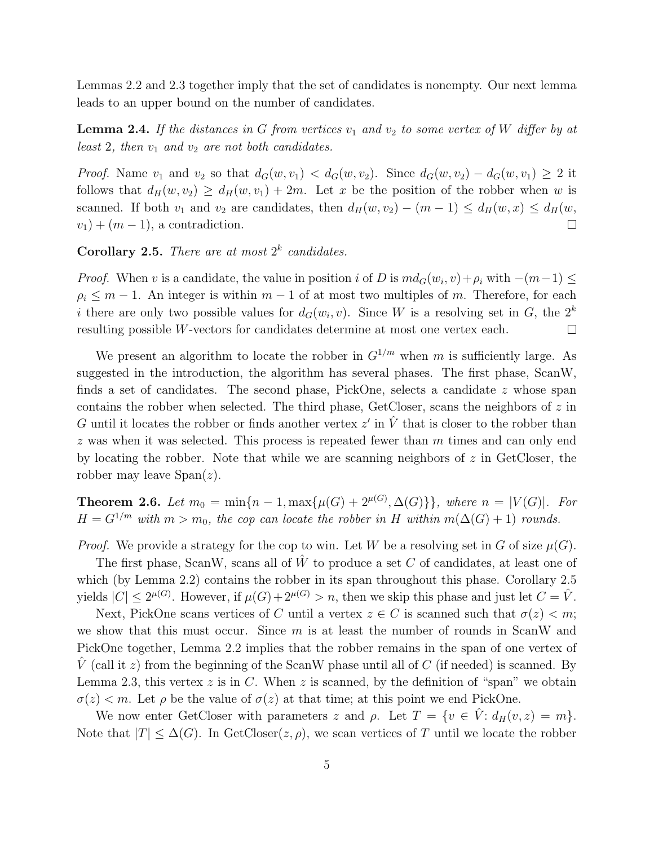Lemmas 2.2 and 2.3 together imply that the set of candidates is nonempty. Our next lemma leads to an upper bound on the number of candidates.

**Lemma 2.4.** If the distances in G from vertices  $v_1$  and  $v_2$  to some vertex of W differ by at least 2, then  $v_1$  and  $v_2$  are not both candidates.

*Proof.* Name  $v_1$  and  $v_2$  so that  $d_G(w, v_1) < d_G(w, v_2)$ . Since  $d_G(w, v_2) - d_G(w, v_1) \geq 2$  it follows that  $d_H(w,v_2) \geq d_H(w,v_1) + 2m$ . Let x be the position of the robber when w is scanned. If both  $v_1$  and  $v_2$  are candidates, then  $d_H(w,v_2) - (m-1) \leq d_H(w,x) \leq d_H(w,$  $v_1$ ) +  $(m-1)$ , a contradiction.  $\Box$ 

**Corollary 2.5.** There are at most  $2^k$  candidates.

*Proof.* When v is a candidate, the value in position i of D is  $md_G(w_i, v) + \rho_i$  with  $-(m-1) \le$  $\rho_i \leq m-1$ . An integer is within  $m-1$  of at most two multiples of m. Therefore, for each i there are only two possible values for  $d_G(w_i, v)$ . Since W is a resolving set in G, the  $2^k$ resulting possible W-vectors for candidates determine at most one vertex each.  $\Box$ 

We present an algorithm to locate the robber in  $G^{1/m}$  when m is sufficiently large. As suggested in the introduction, the algorithm has several phases. The first phase, ScanW, finds a set of candidates. The second phase, PickOne, selects a candidate z whose span contains the robber when selected. The third phase, GetCloser, scans the neighbors of  $z$  in G until it locates the robber or finds another vertex  $z'$  in  $\hat{V}$  that is closer to the robber than  $z$  was when it was selected. This process is repeated fewer than  $m$  times and can only end by locating the robber. Note that while we are scanning neighbors of z in GetCloser, the robber may leave  $\text{Span}(z)$ .

**Theorem 2.6.** Let  $m_0 = \min\{n-1, \max\{\mu(G) + 2^{\mu(G)}, \Delta(G)\}\}\$ , where  $n = |V(G)|$ . For  $H = G^{1/m}$  with  $m > m_0$ , the cop can locate the robber in H within  $m(\Delta(G) + 1)$  rounds.

*Proof.* We provide a strategy for the cop to win. Let W be a resolving set in G of size  $\mu(G)$ .

The first phase, ScanW, scans all of  $W$  to produce a set  $C$  of candidates, at least one of which (by Lemma 2.2) contains the robber in its span throughout this phase. Corollary 2.5 yields  $|C| \le 2^{\mu(G)}$ . However, if  $\mu(G) + 2^{\mu(G)} > n$ , then we skip this phase and just let  $C = \hat{V}$ .

Next, PickOne scans vertices of C until a vertex  $z \in C$  is scanned such that  $\sigma(z) < m$ ; we show that this must occur. Since  $m$  is at least the number of rounds in ScanW and PickOne together, Lemma 2.2 implies that the robber remains in the span of one vertex of  $\hat{V}$  (call it z) from the beginning of the ScanW phase until all of C (if needed) is scanned. By Lemma 2.3, this vertex z is in C. When z is scanned, by the definition of "span" we obtain  $\sigma(z) < m$ . Let  $\rho$  be the value of  $\sigma(z)$  at that time; at this point we end PickOne.

We now enter GetCloser with parameters z and  $\rho$ . Let  $T = \{v \in \hat{V} : d_H(v, z) = m\}.$ Note that  $|T| \leq \Delta(G)$ . In GetCloser(*z*,  $\rho$ ), we scan vertices of T until we locate the robber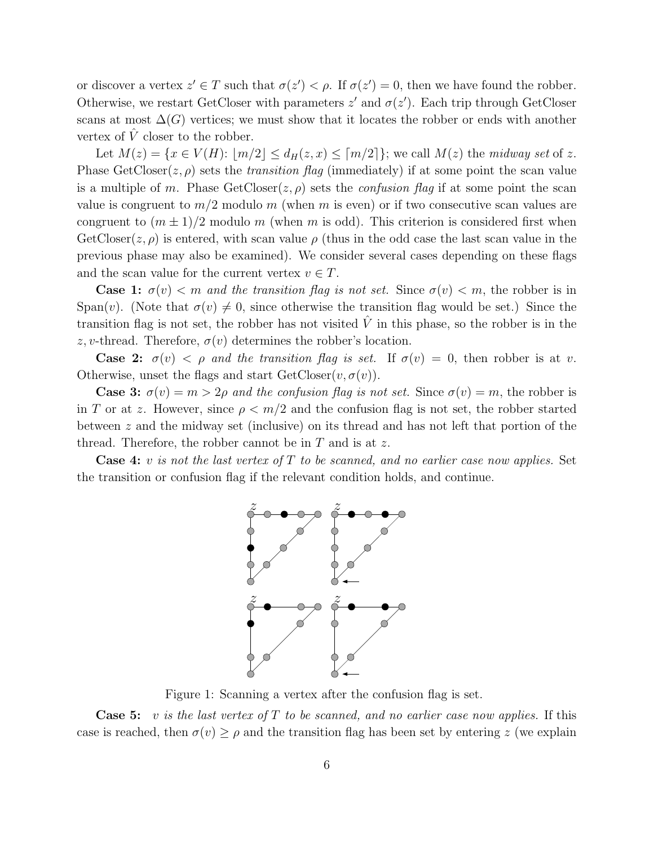or discover a vertex  $z' \in T$  such that  $\sigma(z') < \rho$ . If  $\sigma(z') = 0$ , then we have found the robber. Otherwise, we restart GetCloser with parameters  $z'$  and  $\sigma(z')$ . Each trip through GetCloser scans at most  $\Delta(G)$  vertices; we must show that it locates the robber or ends with another vertex of  $\hat{V}$  closer to the robber.

Let  $M(z) = \{x \in V(H): |m/2| \le d_H(z,x) \le [m/2]\}$ ; we call  $M(z)$  the midway set of z. Phase  $GetCloser(z, \rho)$  sets the *transition flag* (immediately) if at some point the scan value is a multiple of m. Phase  $GetClose(z, \rho)$  sets the *confusion flag* if at some point the scan value is congruent to  $m/2$  modulo m (when m is even) or if two consecutive scan values are congruent to  $(m \pm 1)/2$  modulo m (when m is odd). This criterion is considered first when  $GetCleser(z, \rho)$  is entered, with scan value  $\rho$  (thus in the odd case the last scan value in the previous phase may also be examined). We consider several cases depending on these flags and the scan value for the current vertex  $v \in T$ .

**Case 1:**  $\sigma(v) < m$  and the transition flag is not set. Since  $\sigma(v) < m$ , the robber is in Span(v). (Note that  $\sigma(v) \neq 0$ , since otherwise the transition flag would be set.) Since the transition flag is not set, the robber has not visited  $\hat{V}$  in this phase, so the robber is in the z, v-thread. Therefore,  $\sigma(v)$  determines the robber's location.

**Case 2:**  $\sigma(v) < \rho$  and the transition flag is set. If  $\sigma(v) = 0$ , then robber is at v. Otherwise, unset the flags and start  $GetCloser(v, \sigma(v))$ .

**Case 3:**  $\sigma(v) = m > 2\rho$  and the confusion flag is not set. Since  $\sigma(v) = m$ , the robber is in T or at z. However, since  $\rho < m/2$  and the confusion flag is not set, the robber started between z and the midway set (inclusive) on its thread and has not left that portion of the thread. Therefore, the robber cannot be in  $T$  and is at  $z$ .

**Case 4:** v is not the last vertex of T to be scanned, and no earlier case now applies. Set the transition or confusion flag if the relevant condition holds, and continue.



Figure 1: Scanning a vertex after the confusion flag is set.

**Case 5:** v is the last vertex of T to be scanned, and no earlier case now applies. If this case is reached, then  $\sigma(v) \ge \rho$  and the transition flag has been set by entering z (we explain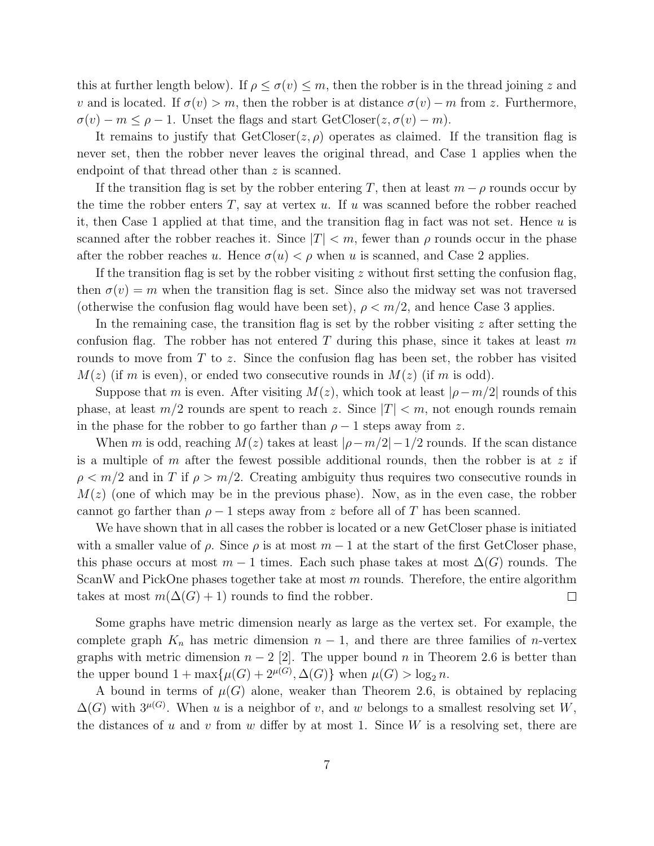this at further length below). If  $\rho \leq \sigma(v) \leq m$ , then the robber is in the thread joining z and v and is located. If  $\sigma(v) > m$ , then the robber is at distance  $\sigma(v) - m$  from z. Furthermore,  $\sigma(v) - m \leq \rho - 1$ . Unset the flags and start GetCloser( $z, \sigma(v) - m$ ).

It remains to justify that  $GetCloser(z, \rho)$  operates as claimed. If the transition flag is never set, then the robber never leaves the original thread, and Case 1 applies when the endpoint of that thread other than z is scanned.

If the transition flag is set by the robber entering T, then at least  $m - \rho$  rounds occur by the time the robber enters  $T$ , say at vertex  $u$ . If  $u$  was scanned before the robber reached it, then Case 1 applied at that time, and the transition flag in fact was not set. Hence  $u$  is scanned after the robber reaches it. Since  $|T| < m$ , fewer than  $\rho$  rounds occur in the phase after the robber reaches u. Hence  $\sigma(u) < \rho$  when u is scanned, and Case 2 applies.

If the transition flag is set by the robber visiting  $z$  without first setting the confusion flag, then  $\sigma(v) = m$  when the transition flag is set. Since also the midway set was not traversed (otherwise the confusion flag would have been set),  $\rho \leq m/2$ , and hence Case 3 applies.

In the remaining case, the transition flag is set by the robber visiting  $z$  after setting the confusion flag. The robber has not entered T during this phase, since it takes at least m rounds to move from  $T$  to z. Since the confusion flag has been set, the robber has visited  $M(z)$  (if m is even), or ended two consecutive rounds in  $M(z)$  (if m is odd).

Suppose that m is even. After visiting  $M(z)$ , which took at least  $|\rho - m/2|$  rounds of this phase, at least  $m/2$  rounds are spent to reach z. Since  $|T| < m$ , not enough rounds remain in the phase for the robber to go farther than  $\rho - 1$  steps away from z.

When m is odd, reaching  $M(z)$  takes at least  $|\rho - m/2| - 1/2$  rounds. If the scan distance is a multiple of m after the fewest possible additional rounds, then the robber is at  $z$  if  $\rho < m/2$  and in T if  $\rho > m/2$ . Creating ambiguity thus requires two consecutive rounds in  $M(z)$  (one of which may be in the previous phase). Now, as in the even case, the robber cannot go farther than  $\rho - 1$  steps away from z before all of T has been scanned.

We have shown that in all cases the robber is located or a new GetCloser phase is initiated with a smaller value of  $\rho$ . Since  $\rho$  is at most  $m-1$  at the start of the first GetCloser phase, this phase occurs at most  $m-1$  times. Each such phase takes at most  $\Delta(G)$  rounds. The ScanW and PickOne phases together take at most  $m$  rounds. Therefore, the entire algorithm takes at most  $m(\Delta(G) + 1)$  rounds to find the robber.  $\Box$ 

Some graphs have metric dimension nearly as large as the vertex set. For example, the complete graph  $K_n$  has metric dimension  $n-1$ , and there are three families of *n*-vertex graphs with metric dimension  $n-2$  [2]. The upper bound n in Theorem 2.6 is better than the upper bound  $1 + \max{\mu(G) + 2^{\mu(G)}, \Delta(G)}$  when  $\mu(G) > \log_2 n$ .

A bound in terms of  $\mu(G)$  alone, weaker than Theorem 2.6, is obtained by replacing  $\Delta(G)$  with  $3^{\mu(G)}$ . When u is a neighbor of v, and w belongs to a smallest resolving set W, the distances of u and v from w differ by at most 1. Since W is a resolving set, there are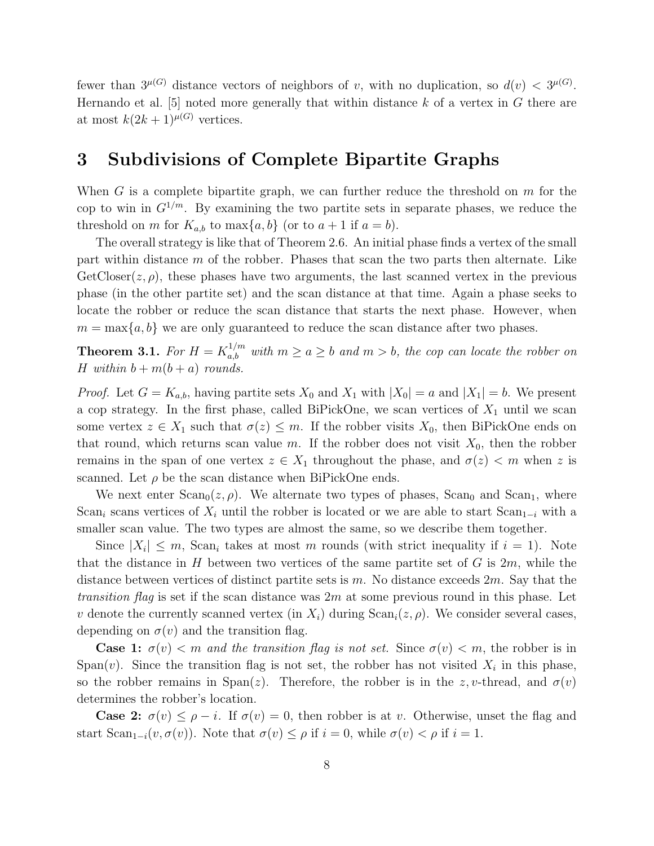fewer than  $3^{\mu(G)}$  distance vectors of neighbors of v, with no duplication, so  $d(v) < 3^{\mu(G)}$ . Hernando et al. [5] noted more generally that within distance  $k$  of a vertex in  $G$  there are at most  $k(2k+1)^{\mu(G)}$  vertices.

#### 3 Subdivisions of Complete Bipartite Graphs

When G is a complete bipartite graph, we can further reduce the threshold on  $m$  for the cop to win in  $G^{1/m}$ . By examining the two partite sets in separate phases, we reduce the threshold on m for  $K_{a,b}$  to max $\{a,b\}$  (or to  $a+1$  if  $a=b$ ).

The overall strategy is like that of Theorem 2.6. An initial phase finds a vertex of the small part within distance m of the robber. Phases that scan the two parts then alternate. Like  $GetCloser(z, \rho)$ , these phases have two arguments, the last scanned vertex in the previous phase (in the other partite set) and the scan distance at that time. Again a phase seeks to locate the robber or reduce the scan distance that starts the next phase. However, when  $m = \max\{a, b\}$  we are only guaranteed to reduce the scan distance after two phases.

**Theorem 3.1.** For  $H = K_{a,b}^{1/m}$  with  $m \ge a \ge b$  and  $m > b$ , the cop can locate the robber on H within  $b + m(b + a)$  rounds.

*Proof.* Let  $G = K_{a,b}$ , having partite sets  $X_0$  and  $X_1$  with  $|X_0| = a$  and  $|X_1| = b$ . We present a cop strategy. In the first phase, called BiPickOne, we scan vertices of  $X_1$  until we scan some vertex  $z \in X_1$  such that  $\sigma(z) \leq m$ . If the robber visits  $X_0$ , then BiPickOne ends on that round, which returns scan value m. If the robber does not visit  $X_0$ , then the robber remains in the span of one vertex  $z \in X_1$  throughout the phase, and  $\sigma(z) < m$  when z is scanned. Let  $\rho$  be the scan distance when BiPickOne ends.

We next enter  $\text{Scan}_0(z,\rho)$ . We alternate two types of phases,  $\text{Scan}_0$  and  $\text{Scan}_1$ , where Scan<sub>i</sub> scans vertices of  $X_i$  until the robber is located or we are able to start Scan<sub>1−i</sub> with a smaller scan value. The two types are almost the same, so we describe them together.

Since  $|X_i| \leq m$ , Scan<sub>i</sub> takes at most m rounds (with strict inequality if  $i = 1$ ). Note that the distance in H between two vertices of the same partite set of  $G$  is  $2m$ , while the distance between vertices of distinct partite sets is  $m$ . No distance exceeds  $2m$ . Say that the *transition flag* is set if the scan distance was  $2m$  at some previous round in this phase. Let v denote the currently scanned vertex (in  $X_i$ ) during  $Scan_i(z, \rho)$ . We consider several cases, depending on  $\sigma(v)$  and the transition flag.

**Case 1:**  $\sigma(v) < m$  and the transition flag is not set. Since  $\sigma(v) < m$ , the robber is in Span(v). Since the transition flag is not set, the robber has not visited  $X_i$  in this phase, so the robber remains in Span(z). Therefore, the robber is in the z, v-thread, and  $\sigma(v)$ determines the robber's location.

**Case 2:**  $\sigma(v) \leq \rho - i$ . If  $\sigma(v) = 0$ , then robber is at v. Otherwise, unset the flag and start  $\text{Scan}_{1-i}(v, \sigma(v))$ . Note that  $\sigma(v) \leq \rho$  if  $i = 0$ , while  $\sigma(v) < \rho$  if  $i = 1$ .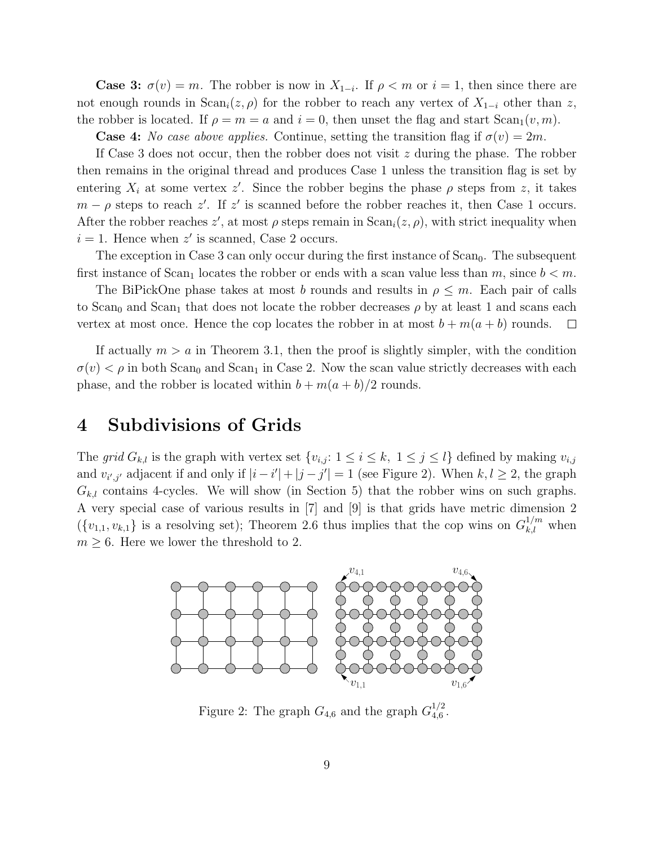**Case 3:**  $\sigma(v) = m$ . The robber is now in  $X_{1-i}$ . If  $\rho < m$  or  $i = 1$ , then since there are not enough rounds in  $\text{Scan}_i(z,\rho)$  for the robber to reach any vertex of  $X_{1-i}$  other than z, the robber is located. If  $\rho = m = a$  and  $i = 0$ , then unset the flag and start  $Scan_1(v, m)$ .

**Case 4:** No case above applies. Continue, setting the transition flag if  $\sigma(v) = 2m$ .

If Case 3 does not occur, then the robber does not visit  $z$  during the phase. The robber then remains in the original thread and produces Case 1 unless the transition flag is set by entering  $X_i$  at some vertex z'. Since the robber begins the phase  $\rho$  steps from z, it takes  $m - \rho$  steps to reach z'. If z' is scanned before the robber reaches it, then Case 1 occurs. After the robber reaches  $z'$ , at most  $\rho$  steps remain in  $\text{Scan}_i(z, \rho)$ , with strict inequality when  $i = 1$ . Hence when  $z'$  is scanned, Case 2 occurs.

The exception in Case 3 can only occur during the first instance of  $Scan<sub>0</sub>$ . The subsequent first instance of Scan<sub>1</sub> locates the robber or ends with a scan value less than m, since  $b < m$ .

The BiPickOne phase takes at most b rounds and results in  $\rho \leq m$ . Each pair of calls to Scan<sub>0</sub> and Scan<sub>1</sub> that does not locate the robber decreases  $\rho$  by at least 1 and scans each vertex at most once. Hence the cop locates the robber in at most  $b + m(a + b)$  rounds.  $\Box$ 

If actually  $m > a$  in Theorem 3.1, then the proof is slightly simpler, with the condition  $\sigma(v) < \rho$  in both Scan<sub>0</sub> and Scan<sub>1</sub> in Case 2. Now the scan value strictly decreases with each phase, and the robber is located within  $b + m(a + b)/2$  rounds.

#### 4 Subdivisions of Grids

The grid  $G_{k,l}$  is the graph with vertex set  $\{v_{i,j}: 1 \leq i \leq k, 1 \leq j \leq l\}$  defined by making  $v_{i,j}$ and  $v_{i',j'}$  adjacent if and only if  $|i-i'|+|j-j'|=1$  (see Figure 2). When  $k, l \geq 2$ , the graph  $G_{k,l}$  contains 4-cycles. We will show (in Section 5) that the robber wins on such graphs. A very special case of various results in [7] and [9] is that grids have metric dimension 2  $({v_{1,1}, v_{k,1}})$  is a resolving set); Theorem 2.6 thus implies that the cop wins on  $G_{k,l}^{1/m}$  when  $m \geq 6$ . Here we lower the threshold to 2.



Figure 2: The graph  $G_{4,6}$  and the graph  $G_{4,6}^{1/2}$  $_{4,6}^{1/2}$ .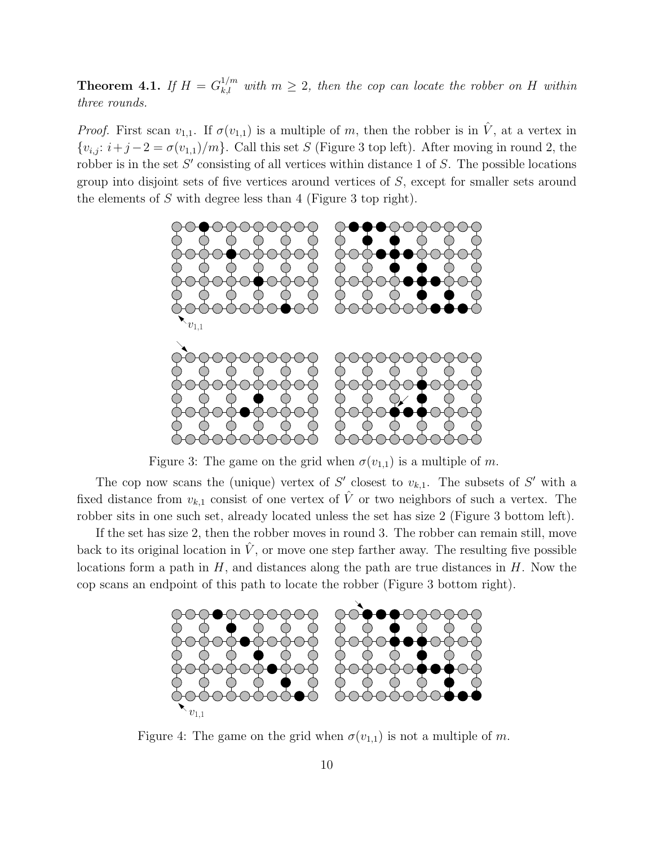**Theorem 4.1.** If  $H = G_{k,l}^{1/m}$  with  $m \geq 2$ , then the cop can locate the robber on H within three rounds.

*Proof.* First scan  $v_{1,1}$ . If  $\sigma(v_{1,1})$  is a multiple of m, then the robber is in  $\hat{V}$ , at a vertex in  ${v_{i,j}: i+j-2 = \sigma(v_{1,1})/m}$ . Call this set S (Figure 3 top left). After moving in round 2, the robber is in the set  $S'$  consisting of all vertices within distance 1 of  $S$ . The possible locations group into disjoint sets of five vertices around vertices of S, except for smaller sets around the elements of S with degree less than 4 (Figure 3 top right).



Figure 3: The game on the grid when  $\sigma(v_{1,1})$  is a multiple of m.

The cop now scans the (unique) vertex of S' closest to  $v_{k,1}$ . The subsets of S' with a fixed distance from  $v_{k,1}$  consist of one vertex of  $\hat{V}$  or two neighbors of such a vertex. The robber sits in one such set, already located unless the set has size 2 (Figure 3 bottom left).

If the set has size 2, then the robber moves in round 3. The robber can remain still, move back to its original location in  $\hat{V}$ , or move one step farther away. The resulting five possible locations form a path in  $H$ , and distances along the path are true distances in  $H$ . Now the cop scans an endpoint of this path to locate the robber (Figure 3 bottom right).



Figure 4: The game on the grid when  $\sigma(v_{1,1})$  is not a multiple of m.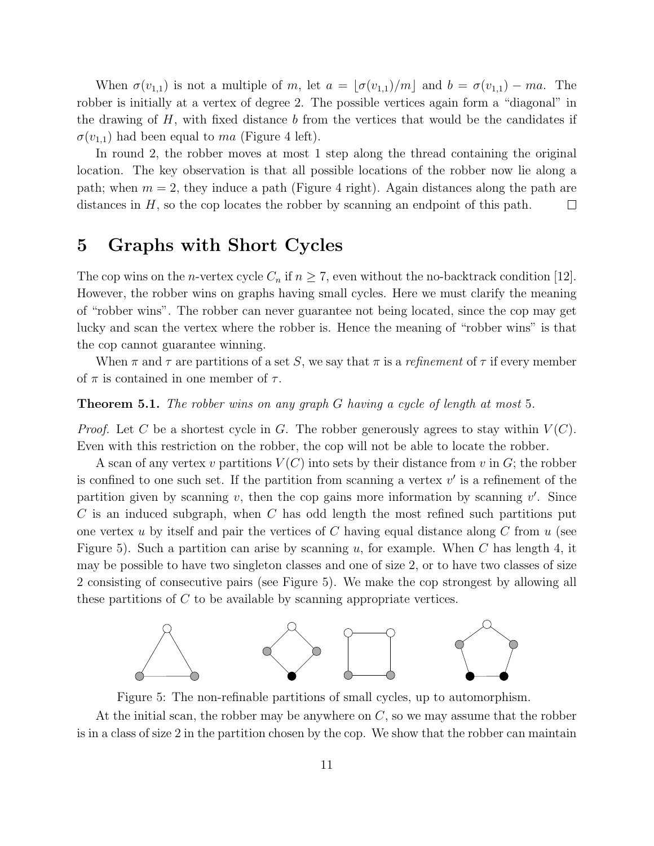When  $\sigma(v_{1,1})$  is not a multiple of m, let  $a = |\sigma(v_{1,1})/m|$  and  $b = \sigma(v_{1,1}) - ma$ . The robber is initially at a vertex of degree 2. The possible vertices again form a "diagonal" in the drawing of  $H$ , with fixed distance  $b$  from the vertices that would be the candidates if  $\sigma(v_{1,1})$  had been equal to ma (Figure 4 left).

In round 2, the robber moves at most 1 step along the thread containing the original location. The key observation is that all possible locations of the robber now lie along a path; when  $m = 2$ , they induce a path (Figure 4 right). Again distances along the path are distances in H, so the cop locates the robber by scanning an endpoint of this path.  $\Box$ 

## 5 Graphs with Short Cycles

The cop wins on the *n*-vertex cycle  $C_n$  if  $n \geq 7$ , even without the no-backtrack condition [12]. However, the robber wins on graphs having small cycles. Here we must clarify the meaning of "robber wins". The robber can never guarantee not being located, since the cop may get lucky and scan the vertex where the robber is. Hence the meaning of "robber wins" is that the cop cannot guarantee winning.

When  $\pi$  and  $\tau$  are partitions of a set S, we say that  $\pi$  is a *refinement* of  $\tau$  if every member of  $\pi$  is contained in one member of  $\tau$ .

#### Theorem 5.1. The robber wins on any graph G having a cycle of length at most 5.

*Proof.* Let C be a shortest cycle in G. The robber generously agrees to stay within  $V(C)$ . Even with this restriction on the robber, the cop will not be able to locate the robber.

A scan of any vertex v partitions  $V(C)$  into sets by their distance from v in G; the robber is confined to one such set. If the partition from scanning a vertex  $v'$  is a refinement of the partition given by scanning  $v$ , then the cop gains more information by scanning  $v'$ . Since  $C$  is an induced subgraph, when  $C$  has odd length the most refined such partitions put one vertex u by itself and pair the vertices of C having equal distance along C from  $u$  (see Figure 5). Such a partition can arise by scanning u, for example. When C has length 4, it may be possible to have two singleton classes and one of size 2, or to have two classes of size 2 consisting of consecutive pairs (see Figure 5). We make the cop strongest by allowing all these partitions of  $C$  to be available by scanning appropriate vertices.



Figure 5: The non-refinable partitions of small cycles, up to automorphism.

At the initial scan, the robber may be anywhere on  $C$ , so we may assume that the robber is in a class of size 2 in the partition chosen by the cop. We show that the robber can maintain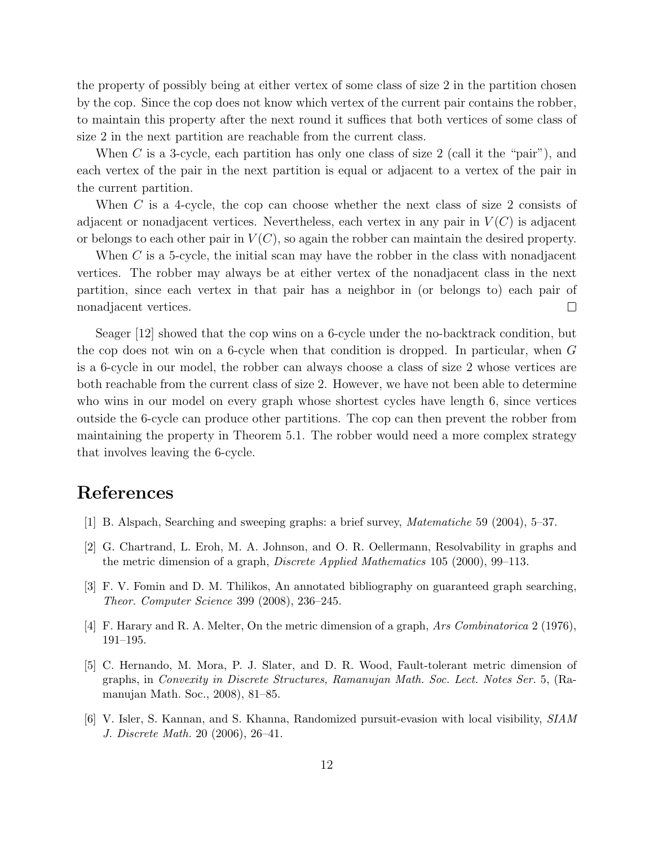the property of possibly being at either vertex of some class of size 2 in the partition chosen by the cop. Since the cop does not know which vertex of the current pair contains the robber, to maintain this property after the next round it suffices that both vertices of some class of size 2 in the next partition are reachable from the current class.

When C is a 3-cycle, each partition has only one class of size 2 (call it the "pair"), and each vertex of the pair in the next partition is equal or adjacent to a vertex of the pair in the current partition.

When  $C$  is a 4-cycle, the cop can choose whether the next class of size 2 consists of adjacent or nonadjacent vertices. Nevertheless, each vertex in any pair in  $V(C)$  is adjacent or belongs to each other pair in  $V(C)$ , so again the robber can maintain the desired property.

When C is a 5-cycle, the initial scan may have the robber in the class with nonadjacent vertices. The robber may always be at either vertex of the nonadjacent class in the next partition, since each vertex in that pair has a neighbor in (or belongs to) each pair of nonadjacent vertices.  $\Box$ 

Seager [12] showed that the cop wins on a 6-cycle under the no-backtrack condition, but the cop does not win on a 6-cycle when that condition is dropped. In particular, when G is a 6-cycle in our model, the robber can always choose a class of size 2 whose vertices are both reachable from the current class of size 2. However, we have not been able to determine who wins in our model on every graph whose shortest cycles have length 6, since vertices outside the 6-cycle can produce other partitions. The cop can then prevent the robber from maintaining the property in Theorem 5.1. The robber would need a more complex strategy that involves leaving the 6-cycle.

### References

- [1] B. Alspach, Searching and sweeping graphs: a brief survey, Matematiche 59 (2004), 5–37.
- [2] G. Chartrand, L. Eroh, M. A. Johnson, and O. R. Oellermann, Resolvability in graphs and the metric dimension of a graph, *Discrete Applied Mathematics* 105 (2000), 99–113.
- [3] F. V. Fomin and D. M. Thilikos, An annotated bibliography on guaranteed graph searching, Theor. Computer Science 399 (2008), 236–245.
- [4] F. Harary and R. A. Melter, On the metric dimension of a graph, Ars Combinatorica 2 (1976), 191–195.
- [5] C. Hernando, M. Mora, P. J. Slater, and D. R. Wood, Fault-tolerant metric dimension of graphs, in Convexity in Discrete Structures, Ramanujan Math. Soc. Lect. Notes Ser. 5, (Ramanujan Math. Soc., 2008), 81–85.
- [6] V. Isler, S. Kannan, and S. Khanna, Randomized pursuit-evasion with local visibility, SIAM J. Discrete Math. 20 (2006), 26–41.